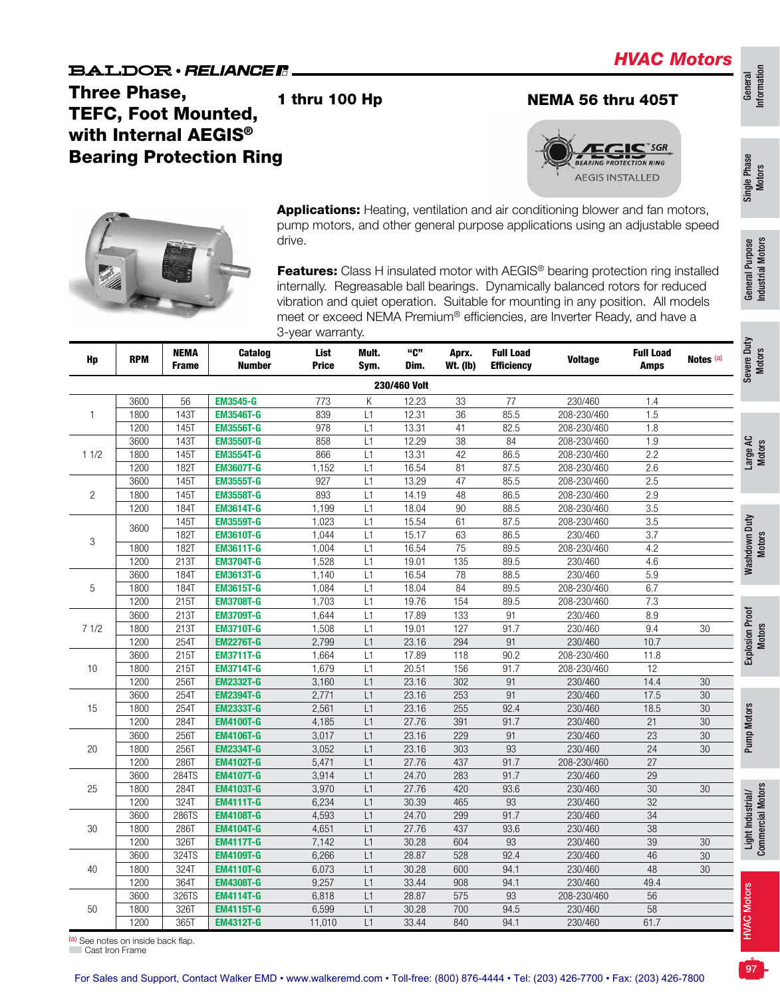Bearing Protection Ring

drive.

TEFC, Foot Mounted, with Internal AEGIS<sup>®</sup>

Three Phase,

SGR

**AEGIS INSTALLED** 

# General<br>Information Information

# Single Phase Single Phase<br>Motors



| Hp             | <b>RPM</b> | <b>NEMA</b><br>Frame | Catalog<br><b>Number</b> | List<br><b>Price</b> | Mult.<br>Sym.   | "C"<br>Dim.  | Aprx.<br>Wt. (lb) | <b>Full Load</b><br><b>Efficiency</b> | <b>Voltage</b> | <b>Full Load</b><br><b>Amps</b> | Notes (a) |
|----------------|------------|----------------------|--------------------------|----------------------|-----------------|--------------|-------------------|---------------------------------------|----------------|---------------------------------|-----------|
|                |            |                      |                          |                      |                 | 230/460 Volt |                   |                                       |                |                                 |           |
|                | 3600       | 56                   | <b>EM3545-G</b>          | 773                  | Κ               | 12.23        | 33                | 77                                    | 230/460        | 1.4                             |           |
| $\mathbf{1}$   | 1800       | 143T                 | <b>EM3546T-G</b>         | 839                  | L1              | 12.31        | $\overline{36}$   | 85.5                                  | 208-230/460    | 1.5                             |           |
|                | 1200       | 145T                 | <b>EM3556T-G</b>         | 978                  | L1              | 13.31        | 41                | 82.5                                  | 208-230/460    | 1.8                             |           |
|                | 3600       | 1431                 | <b>EM3550T-G</b>         | 858                  | L1              | 12.29        | 38                | 84                                    | 208-230/460    | 1.9                             |           |
| 11/2           | 1800       | <b>145T</b>          | <b>EM3554T-G</b>         | 866                  | L1              | 13.31        | 42                | 86.5                                  | 208-230/460    | 2.2                             |           |
|                | 1200       | 182T                 | <b>EM3607T-G</b>         | 1,152                | L1              | 16.54        | 81                | 87.5                                  | 208-230/460    | 2.6                             |           |
|                | 3600       | <b>145T</b>          | <b>EM3555T-G</b>         | 927                  | L1              | 13.29        | 47                | 85.5                                  | 208-230/460    | 2.5                             |           |
| $\overline{c}$ | 1800       | 145T                 | <b>EM3558T-G</b>         | 893                  | L1              | 14.19        | 48                | 86.5                                  | 208-230/460    | 2.9                             |           |
|                | 1200       | <b>184T</b>          | <b>EM3614T-G</b>         | 1,199                | L1              | 18.04        | $\overline{90}$   | 88.5                                  | 208-230/460    | $\overline{3.5}$                |           |
| $\mathfrak{Z}$ | 3600       | 145T                 | <b>EM3559T-G</b>         | 1,023                | L1              | 15.54        | 61                | 87.5                                  | 208-230/460    | 3.5                             |           |
|                |            | 182T                 | <b>EM3610T-G</b>         | 1,044                | L1              | 15.17        | 63                | 86.5                                  | 230/460        | $\overline{3.7}$                |           |
|                | 1800       | <b>182T</b>          | <b>EM3611T-G</b>         | 1,004                | L1              | 16.54        | 75                | 89.5                                  | 208-230/460    | 4.2                             |           |
|                | 1200       | 213T                 | <b>EM3704T-G</b>         | 1,528                | L1              | 19.01        | 135               | 89.5                                  | 230/460        | 4.6                             |           |
|                | 3600       | 184T                 | <b>EM3613T-G</b>         | 1,140                | $\overline{L1}$ | 16.54        | 78                | 88.5                                  | 230/460        | $\overline{5.9}$                |           |
| $\mathbf 5$    | 1800       | <b>184T</b>          | <b>EM3615T-G</b>         | 1,084                | L1              | 18.04        | 84                | 89.5                                  | 208-230/460    | 6.7                             |           |
|                | 1200       | <b>215T</b>          | <b>EM3708T-G</b>         | 1,703                | L1              | 19.76        | 154               | 89.5                                  | 208-230/460    | 7.3                             |           |
|                | 3600       | 213T                 | <b>EM3709T-G</b>         | 1,644                | L1              | 17.89        | 133               | 91                                    | 230/460        | 8.9                             |           |
| 71/2           | 1800       | <b>213T</b>          | <b>EM3710T-G</b>         | 1,508                | L1              | 19.01        | 127               | 91.7                                  | 230/460        | 9.4                             | 30        |
|                | 1200       | 254T                 | <b>EM2276T-G</b>         | 2,799                | L1              | 23.16        | 294               | 91                                    | 230/460        | 10.7                            |           |
|                | 3600       | 215T                 | <b>EM3711T-G</b>         | 1,664                | L1              | 17.89        | 118               | 90.2                                  | 208-230/460    | 11.8                            |           |
| 10             | 1800       | 215T                 | <b>EM3714T-G</b>         | 1,679                | L1              | 20.51        | 156               | 91.7                                  | 208-230/460    | $\overline{12}$                 |           |
|                | 1200       | 256T                 | <b>EM2332T-G</b>         | 3,160                | L1              | 23.16        | 302               | 91                                    | 230/460        | 14.4                            | 30        |
|                | 3600       | 254T                 | <b>EM2394T-G</b>         | 2,771                | L1              | 23.16        | 253               | 91                                    | 230/460        | 17.5                            | 30        |
| 15             | 1800       | 254T                 | <b>EM2333T-G</b>         | 2,561                | L1              | 23.16        | 255               | 92.4                                  | 230/460        | 18.5                            | 30        |
|                | 1200       | 284T                 | <b>EM4100T-G</b>         | 4,185                | L1              | 27.76        | 391               | 91.7                                  | 230/460        | 21                              | 30        |
|                | 3600       | 256T                 | <b>EM4106T-G</b>         | 3,017                | L1              | 23.16        | 229               | 91                                    | 230/460        | $\overline{23}$                 | 30        |
| 20             | 1800       | 256T                 | <b>EM2334T-G</b>         | 3,052                | L1              | 23.16        | 303               | 93                                    | 230/460        | $\overline{24}$                 | 30        |
|                | 1200       | <b>286T</b>          | <b>EM4102T-G</b>         | 5,471                | L1              | 27.76        | 437               | 91.7                                  | 208-230/460    | 27                              |           |
|                | 3600       | 284TS                | <b>EM4107T-G</b>         | 3,914                | L1              | 24.70        | 283               | 91.7                                  | 230/460        | $\overline{29}$                 |           |
| 25             | 1800       | 284T                 | <b>EM4103T-G</b>         | 3,970                | L1              | 27.76        | 420               | 93.6                                  | 230/460        | 30                              | 30        |
|                | 1200       | 324T                 | <b>EM4111T-G</b>         | 6,234                | L1              | 30.39        | 465               | 93                                    | 230/460        | $\overline{32}$                 |           |
|                | 3600       | 286TS                | <b>EM4108T-G</b>         | 4,593                | L1              | 24.70        | 299               | 91.7                                  | 230/460        | 34                              |           |
| 30             | 1800       | <b>286T</b>          | <b>EM4104T-G</b>         | 4,651                | L1              | 27.76        | 437               | 93.6                                  | 230/460        | 38                              |           |
|                | 1200       | 326T                 | <b>EM4117T-G</b>         | 7,142                | L1              | 30.28        | 604               | 93                                    | 230/460        | 39                              | 30        |
|                | 3600       | 324TS                | <b>EM4109T-G</b>         | 6,266                | L1              | 28.87        | 528               | 92.4                                  | 230/460        | 46                              | 30        |
| 40             | 1800       | 324T                 | <b>EM4110T-G</b>         | 6,073                | L1              | 30.28        | 600               | 94.1                                  | 230/460        | 48                              | 30        |
|                | 1200       | 364T                 | <b>EM4308T-G</b>         | 9,257                | L1              | 33.44        | 908               | 94.1                                  | 230/460        | 49.4                            |           |
|                | 3600       | 326TS                | <b>EM4114T-G</b>         | 6,818                | L1              | 28.87        | 575               | 93                                    | 208-230/460    | 56                              |           |
| 50             | 1800       | 326T                 | <b>EM4115T-G</b>         | 6,599                | L1              | 30.28        | 700               | 94.5                                  | 230/460        | 58                              |           |
|                | 1200       | 365T                 | <b>EM4312T-G</b>         | 11,010               | L1              | 33.44        | 840               | 94.1                                  | 230/460        | 61.7                            |           |

1 thru 100 Hp NEMA 56 thru 405T

Applications: Heating, ventilation and air conditioning blower and fan motors, pump motors, and other general purpose applications using an adjustable speed

Features: Class H insulated motor with AEGIS® bearing protection ring installed internally. Regreasable ball bearings. Dynamically balanced rotors for reduced

#### (a) See notes on inside back flap.

■ Cast Iron Frame

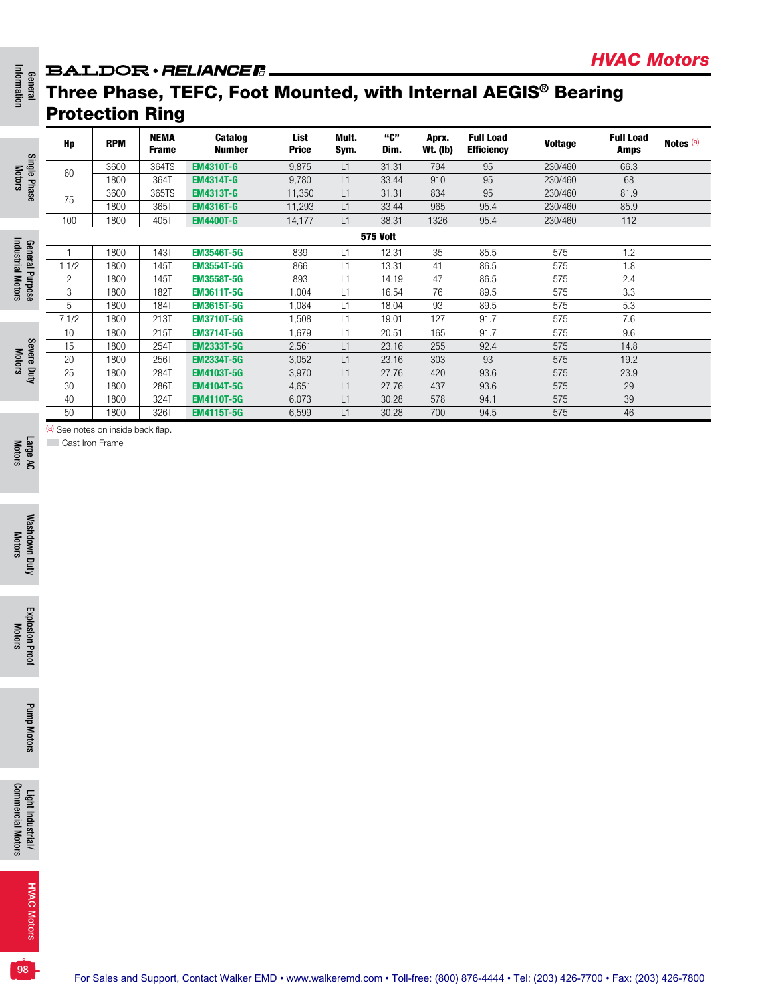### **BALDOR** · RELIANCE **R**\_

# Three Phase, TEFC, Foot Mounted, with Internal AEGIS® Bearing Protection Ring

|                 | Hp   | <b>RPM</b> | <b>NEMA</b><br><b>Frame</b> | <b>Catalog</b><br><b>Number</b> | List<br><b>Price</b> | Mult.<br>Sym. | "ር"<br>Dim.     | Aprx.<br><b>Wt. (Ib)</b> | <b>Full Load</b><br><b>Efficiency</b> | <b>Voltage</b> | <b>Full Load</b><br><b>Amps</b> | Notes <sup>(a)</sup> |
|-----------------|------|------------|-----------------------------|---------------------------------|----------------------|---------------|-----------------|--------------------------|---------------------------------------|----------------|---------------------------------|----------------------|
| Single          | 60   | 3600       | 364TS                       | <b>EM4310T-G</b>                | 9,875                | L1            | 31.31           | 794                      | 95                                    | 230/460        | 66.3                            |                      |
|                 |      | 1800       | 364T                        | <b>EM4314T-G</b>                | 9.780                | L1            | 33.44           | 910                      | 95                                    | 230/460        | 68                              |                      |
| Phase           | 75   | 3600       | 365TS                       | <b>EM4313T-G</b>                | 11,350               | L1            | 31.31           | 834                      | 95                                    | 230/460        | 81.9                            |                      |
|                 |      | 1800       | 365T                        | <b>EM4316T-G</b>                | 11,293               | L1            | 33.44           | 965                      | 95.4                                  | 230/460        | 85.9                            |                      |
|                 | 100  | 1800       | 405T                        | <b>EM4400T-G</b>                | 14,177               | L1            | 38.31           | 1326                     | 95.4                                  | 230/460        | 112                             |                      |
|                 |      |            |                             |                                 |                      |               | <b>575 Volt</b> |                          |                                       |                |                                 |                      |
|                 |      | 1800       | 143T                        | <b>EM3546T-5G</b>               | 839                  | L1            | 12.31           | 35                       | 85.5                                  | 575            | 1.2                             |                      |
|                 | 11/2 | 1800       | 145T                        | <b>EM3554T-5G</b>               | 866                  |               | 13.31           | 41                       | 86.5                                  | 575            | 1.8                             |                      |
|                 | 2    | 1800       | 145T                        | <b>EM3558T-5G</b>               | 893                  | L1            | 14.19           | 47                       | 86.5                                  | 575            | 2.4                             |                      |
| General Purpose | 3    | 1800       | 182T                        | <b>EM3611T-5G</b>               | 1,004                | L1            | 16.54           | 76                       | 89.5                                  | 575            | 3.3                             |                      |
|                 | 5    | 1800       | 184T                        | <b>EM3615T-5G</b>               | 1,084                | L1            | 18.04           | 93                       | 89.5                                  | 575            | 5.3                             |                      |
|                 | 71/2 | 1800       | 213T                        | <b>EM3710T-5G</b>               | 1.508                | L1            | 19.01           | 127                      | 91.7                                  | 575            | 7.6                             |                      |
|                 | 10   | 1800       | 215T                        | <b>EM3714T-5G</b>               | 1.679                | L1            | 20.51           | 165                      | 91.7                                  | 575            | 9.6                             |                      |
|                 | 15   | 1800       | 254T                        | <b>EM2333T-5G</b>               | 2,561                | L1            | 23.16           | 255                      | 92.4                                  | 575            | 14.8                            |                      |
|                 | 20   | 1800       | 256T                        | <b>EM2334T-5G</b>               | 3,052                | L1            | 23.16           | 303                      | 93                                    | 575            | 19.2                            |                      |
| Severe Duty     | 25   | 1800       | 284T                        | <b>EM4103T-5G</b>               | 3,970                | L1            | 27.76           | 420                      | 93.6                                  | 575            | 23.9                            |                      |
|                 | 30   | 1800       | 286T                        | <b>EM4104T-5G</b>               | 4,651                | L1            | 27.76           | 437                      | 93.6                                  | 575            | 29                              |                      |
|                 | 40   | 1800       | 324T                        | <b>EM4110T-5G</b>               | 6,073                | L1            | 30.28           | 578                      | 94.1                                  | 575            | 39                              |                      |
|                 | 50   | 1800       | 326T                        | <b>EM4115T-5G</b>               | 6,599                | L1            | 30.28           | 700                      | 94.5                                  | 575            | 46                              |                      |

*HVAC Motors*

(a) See notes on inside back flap.

**Cast Iron Frame** 

Large AC Motors

General<br>Information Information

Motors

Industrial Motors

Industrial Motors

Motors

**98**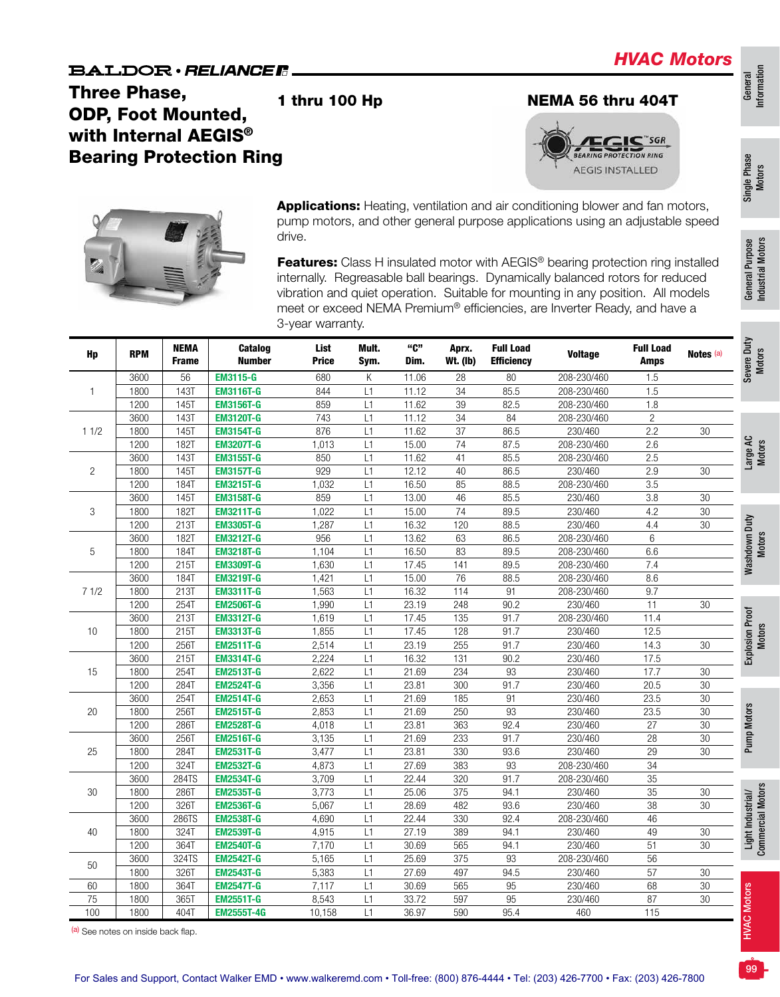## Three Phase, ODP, Foot Mounted, with Internal AEGIS<sup>®</sup> Bearing Protection Ring







Applications: Heating, ventilation and air conditioning blower and fan motors, pump motors, and other general purpose applications using an adjustable speed drive.

Features: Class H insulated motor with AEGIS® bearing protection ring installed internally. Regreasable ball bearings. Dynamically balanced rotors for reduced vibration and quiet operation. Suitable for mounting in any position. All models meet or exceed NEMA Premium® efficiencies, are Inverter Ready, and have a 3-year warranty.

| Hp             | <b>RPM</b> | <b>NEMA</b><br>Frame | <b>Catalog</b><br><b>Number</b> | List<br><b>Price</b> | Mult.<br>Sym. | "C"<br>Dim. | Aprx.<br><b>Wt. (Ib)</b> | <b>Full Load</b><br><b>Efficiency</b> | <b>Voltage</b> | <b>Full Load</b><br><b>Amps</b> | Notes (a)       | Severe Duty<br><b>Motors</b>           |
|----------------|------------|----------------------|---------------------------------|----------------------|---------------|-------------|--------------------------|---------------------------------------|----------------|---------------------------------|-----------------|----------------------------------------|
|                | 3600       | 56                   | <b>EM3115-G</b>                 | 680                  | Κ             | 11.06       | 28                       | 80                                    | 208-230/460    | 1.5                             |                 |                                        |
| 1              | 1800       | <b>143T</b>          | <b>EM3116T-G</b>                | 844                  | L1            | 11.12       | 34                       | 85.5                                  | 208-230/460    | 1.5                             |                 |                                        |
|                | 1200       | 145T                 | <b>EM3156T-G</b>                | 859                  | L1            | 11.62       | 39                       | 82.5                                  | 208-230/460    | 1.8                             |                 |                                        |
|                | 3600       | <b>143T</b>          | <b>EM3120T-G</b>                | 743                  | L1            | 11.12       | $\overline{34}$          | 84                                    | 208-230/460    | $\mathbf{2}$                    |                 |                                        |
| 11/2           | 1800       | 145T                 | <b>EM3154T-G</b>                | 876                  | L1            | 11.62       | 37                       | 86.5                                  | 230/460        | 2.2                             | 30              |                                        |
|                | 1200       | 182T                 | <b>EM3207T-G</b>                | 1,013                | L1            | 15.00       | 74                       | 87.5                                  | 208-230/460    | 2.6                             |                 | Large AC<br>Motors                     |
|                | 3600       | <b>143T</b>          | <b>EM3155T-G</b>                | 850                  | L1            | 11.62       | 41                       | 85.5                                  | 208-230/460    | 2.5                             |                 |                                        |
| $\overline{2}$ | 1800       | 145T                 | <b>EM3157T-G</b>                | 929                  | L1            | 12.12       | 40                       | 86.5                                  | 230/460        | 2.9                             | 30              |                                        |
|                | 1200       | 184T                 | <b>EM3215T-G</b>                | 1,032                | L1            | 16.50       | 85                       | 88.5                                  | 208-230/460    | 3.5                             |                 |                                        |
|                | 3600       | <b>145T</b>          | <b>EM3158T-G</b>                | 859                  | L1            | 13.00       | 46                       | 85.5                                  | 230/460        | $\overline{3.8}$                | $\overline{30}$ |                                        |
| 3              | 1800       | <b>182T</b>          | <b>EM3211T-G</b>                | 1,022                | L1            | 15.00       | $\overline{74}$          | 89.5                                  | 230/460        | 4.2                             | 30              |                                        |
|                | 1200       | 213T                 | <b>EM3305T-G</b>                | 1,287                | L1            | 16.32       | 120                      | 88.5                                  | 230/460        | 4.4                             | 30              |                                        |
|                | 3600       | 182T                 | <b>EM3212T-G</b>                | 956                  | L1            | 13.62       | 63                       | 86.5                                  | 208-230/460    | 6                               |                 | Washdown Duty<br>Motors                |
| 5              | 1800       | 184T                 | <b>EM3218T-G</b>                | 1,104                | L1            | 16.50       | 83                       | 89.5                                  | 208-230/460    | 6.6                             |                 |                                        |
|                | 1200       | 215T                 | <b>EM3309T-G</b>                | 1,630                | L1            | 17.45       | 141                      | 89.5                                  | 208-230/460    | 7.4                             |                 |                                        |
|                | 3600       | 184T                 | <b>EM3219T-G</b>                | 1,421                | L1            | 15.00       | $\overline{76}$          | 88.5                                  | 208-230/460    | 8.6                             |                 |                                        |
| 71/2           | 1800       | 213T                 | <b>EM3311T-G</b>                | 1,563                | L1            | 16.32       | 114                      | 91                                    | 208-230/460    | 9.7                             |                 |                                        |
|                | 1200       | 254T                 | <b>EM2506T-G</b>                | 1,990                | L1            | 23.19       | 248                      | 90.2                                  | 230/460        | 11                              | $30\,$          |                                        |
|                | 3600       | 213T                 | <b>EM3312T-G</b>                | 1,619                | L1            | 17.45       | $\overline{135}$         | 91.7                                  | 208-230/460    | 11.4                            |                 |                                        |
| 10             | 1800       | 215T                 | <b>EM3313T-G</b>                | 1,855                | L1            | 17.45       | 128                      | 91.7                                  | 230/460        | 12.5                            |                 | Explosion Proof<br>Motors              |
|                | 1200       | 256T                 | <b>EM2511T-G</b>                | 2,514                | L1            | 23.19       | 255                      | 91.7                                  | 230/460        | 14.3                            | $30\,$          |                                        |
|                | 3600       | 215T                 | <b>EM3314T-G</b>                | 2,224                | L1            | 16.32       | $\overline{131}$         | 90.2                                  | 230/460        | 17.5                            |                 |                                        |
| 15             | 1800       | 254T                 | <b>EM2513T-G</b>                | 2,622                | L1            | 21.69       | 234                      | 93                                    | 230/460        | 17.7                            | 30              |                                        |
|                | 1200       | 284T                 | <b>EM2524T-G</b>                | 3,356                | L1            | 23.81       | 300                      | 91.7                                  | 230/460        | 20.5                            | 30              |                                        |
|                | 3600       | 254T                 | <b>EM2514T-G</b>                | 2,653                | L1            | 21.69       | 185                      | 91                                    | 230/460        | 23.5                            | 30              |                                        |
| 20             | 1800       | 256T                 | <b>EM2515T-G</b>                | 2,853                | L1            | 21.69       | 250                      | $\overline{93}$                       | 230/460        | 23.5                            | 30              | Pump Motors                            |
|                | 1200       | <b>286T</b>          | <b>EM2528T-G</b>                | 4,018                | L1            | 23.81       | 363                      | 92.4                                  | 230/460        | 27                              | $\overline{30}$ |                                        |
|                | 3600       | 2561                 | <b>EM2516T-G</b>                | 3,135                | L1            | 21.69       | 233                      | 91.7                                  | 230/460        | 28                              | 30              |                                        |
| 25             | 1800       | 284T                 | <b>EM2531T-G</b>                | 3,477                | L1            | 23.81       | 330                      | 93.6                                  | 230/460        | 29                              | $\overline{30}$ |                                        |
|                | 1200       | 324T                 | <b>EM2532T-G</b>                | 4,873                | L1            | 27.69       | 383                      | 93                                    | 208-230/460    | $\overline{34}$                 |                 |                                        |
|                | 3600       | 284TS                | <b>EM2534T-G</b>                | 3,709                | L1            | 22.44       | 320                      | 91.7                                  | 208-230/460    | $\overline{35}$                 |                 |                                        |
| 30             | 1800       | <b>286T</b>          | <b>EM2535T-G</b>                | 3,773                | L1            | 25.06       | 375                      | 94.1                                  | 230/460        | $\overline{35}$                 | $\overline{30}$ | Light Industrial/<br>Commercial Motors |
|                | 1200       | 326T                 | <b>EM2536T-G</b>                | 5,067                | L1            | 28.69       | 482                      | 93.6                                  | 230/460        | $\overline{38}$                 | $\overline{30}$ |                                        |
|                | 3600       | 286TS                | <b>EM2538T-G</b>                | 4,690                | L1            | 22.44       | 330                      | 92.4                                  | 208-230/460    | 46                              |                 |                                        |
| 40             | 1800       | 324T                 | <b>EM2539T-G</b>                | 4,915                | L1            | 27.19       | 389                      | 94.1                                  | 230/460        | 49                              | 30              |                                        |
|                | 1200       | 364T                 | <b>EM2540T-G</b>                | 7,170                | L1            | 30.69       | 565                      | 94.1                                  | 230/460        | 51                              | 30              |                                        |
|                | 3600       | 324TS                | <b>EM2542T-G</b>                | 5,165                | L1            | 25.69       | 375                      | 93                                    | 208-230/460    | 56                              |                 |                                        |
| 50             | 1800       | <b>326T</b>          | <b>EM2543T-G</b>                | 5,383                | L1            | 27.69       | 497                      | 94.5                                  | 230/460        | $\overline{57}$                 | $\overline{30}$ |                                        |
| 60             | 1800       | 364T                 | <b>EM2547T-G</b>                | 7,117                | L1            | 30.69       | 565                      | 95                                    | 230/460        | 68                              | 30              |                                        |
| 75             | 1800       | 365T                 | <b>EM2551T-G</b>                | 8,543                | L1            | 33.72       | 597                      | $\overline{95}$                       | 230/460        | $\overline{87}$                 | 30              | <b>HVAC Motors</b>                     |
| 100            | 1800       | 404T                 | <b>EM2555T-4G</b>               | 10,158               | L1            | 36.97       | 590                      | 95.4                                  | 460            | $\frac{115}{115}$               |                 |                                        |

Single Phase Single Phase<br>Motors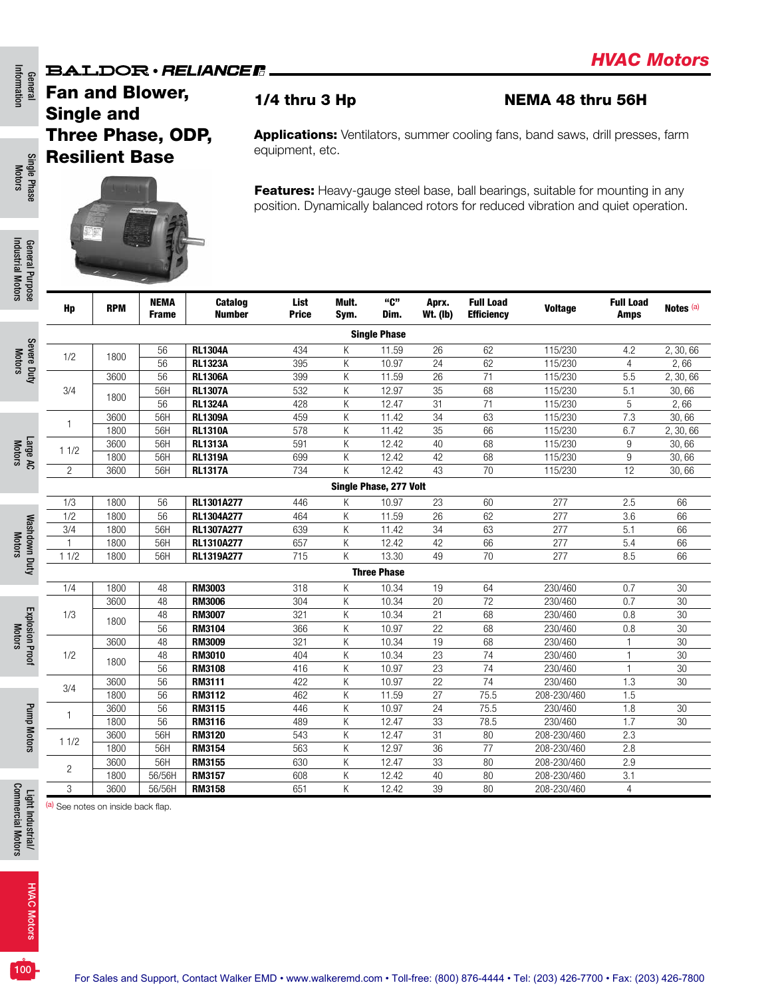### **BALDOR** · RELIANCE F

Fan and Blower, Single and Three Phase, ODP, Resilient Base



Features: Heavy-gauge steel base, ball bearings, suitable for mounting in any position. Dynamically balanced rotors for reduced vibration and quiet operation.

Applications: Ventilators, summer cooling fans, band saws, drill presses, farm

1/4 thru 3 Hp NEMA 48 thru 56H

 $H<sub>p</sub>$  RPM  $R<sub>p</sub>$  NEMA Frame **Catalog** Number List Price Mult. Sym. "C" Dim. Aprx. Wt. (lb) Full Load Efficiency Voltage Full Load Notes<sup>(a)</sup> Single Phase 1/2 <sup>1800</sup> <sup>56</sup> RL1304A <sup>434</sup> <sup>K</sup> 11.59 <sup>26</sup> <sup>62</sup> 115/230 4.2 2, 30, 66 56 RL1323A 395 K 10.97 24 62 115/230 4 2, 66 3/4 3600 56 RL1306A 399 K 11.59 26 71 115/230 5.5 2, 30, 66 1800 56H **RL1307A** 532 K 12.97 35 68 115/230 5.1 30,66<br>1800 50 **PL1301A** 499 K 19.47 31 71 115/230 5.1 3.066 56 RL1324A 428 K 12.47 31 71 115/230 5 2, 66 <sup>1</sup> <sup>3600</sup> 56H RL1309A <sup>459</sup> <sup>K</sup> 11.42 <sup>34</sup> <sup>63</sup> 115/230 7.3 30, 66 1800 56H RL1310A 578 K 11.42 35 66 115/230 6.7 2, 30, 66 1 1/2 <sup>3600</sup> 56H RL1313A <sup>591</sup> <sup>K</sup> 12.42 <sup>40</sup> <sup>68</sup> 115/230 <sup>9</sup> 30, 66 1800 56H RL1319A 699 K 12.42 42 68 115/230 9 30, 66 2 | 3600 | 56H | **RL1317A** 734 K 12.42 43 70 115/230 12 30,66 Single Phase, 277 Volt 1/3 | 1800 | 56 |**RL1301A277** 446 K 10.97 23 60 277 2.5 66 1/2 | 1800 | 56 |**RL1304A277** 464 K 11.59 26 62 277 3.6 66 3/4 | 1800 | 56H |**RL1307A277** 639 K 11.42 34 63 277 5.1 66 1 | 1800 | 56H |**RL1310A277** 657 K 12.42 42 66 277 5.4 66 1 1/2 | 1800 | 56H | **RL1319A277** 715 K 13.30 49 70 277 8.5 66 Three Phase 1/4 1800 48 RM3003 318 K 10.34 19 64 230/460 0.7 30 1/3 3600 48 RM3006 304 K 10.34 20 72 230/460 0.7 30 1800 48 **RM3007** 321 K 10.34 21 68 230/460 0.8 30<br>1800 58 **PM3007** 321 K 10.34 21 68 230/460 0.8 30 56 RM3104 366 K 10.97 22 68 230/460 0.8 30 1/2 3600 48 RM3009 321 K 10.34 19 68 230/460 1 30 1800 48 **RM3010** 404 K 10.34 23 74 230/460 1 30<br>1800 50 **PM3430** 440 K 10.07 80 74 230/460 1 30 56 RM3108 416 K 10.97 23 74 230/460 1 30 3/4 <sup>3600</sup> <sup>56</sup> RM3111 <sup>422</sup> <sup>K</sup> 10.97 <sup>22</sup> <sup>74</sup> 230/460 1.3 <sup>30</sup> 1800 56 RM3112 462 K 11.59 27 75.5 208-230/460 1.5 <sup>1</sup> <sup>3600</sup> <sup>56</sup> RM3115 <sup>446</sup> <sup>K</sup> 10.97 <sup>24</sup> 75.5 230/460 1.8 <sup>30</sup> 1800 56 RM3116 489 K 12.47 33 78.5 230/460 1.7 30 1 1/2 3600 56H **RM3120** 543 K 12.47 31 80 208-230/460 2.3<br>1 1/2 1999 59H **RM3120** 550 K 19.97 80 77 999 990/490 0.9 1800 | 56H | **RM3154** 563 K 12.97 36 77 208-230/460 2.8 <sup>2</sup> <sup>3600</sup> 56H RM3155 <sup>630</sup> <sup>K</sup> 12.47 <sup>33</sup> <sup>80</sup> 208-230/460 2.9 1800 56/56H RM3157 608 K 12.42 40 80 208-230/460 3.1 3 | 3600 | 56/56H | **RM3158** 651 K 12.42 39 80 208-230/460 4

equipment, etc.

(a) See notes on inside back flap.

General Information

Informatio

Pump Motors

Pump Motors

HVAC Motors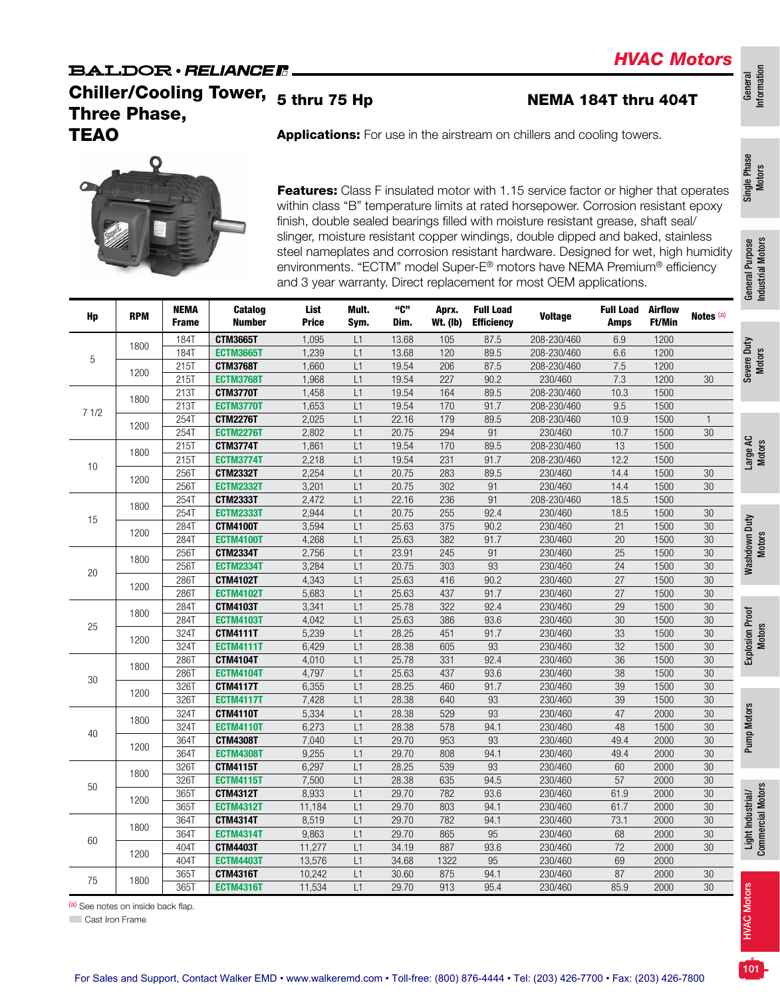## **BALDOR** · RELIANCE R

Chiller/Cooling Tower, 5 thru 75 Hp Three Phase, **TEAO** Applications: For use in the airstream on chillers and cooling towers.

General<br>Information Information

Single Phase Single Phase<br>Motors



Features: Class F insulated motor with 1.15 service factor or higher that operates within class "B" temperature limits at rated horsepower. Corrosion resistant epoxy finish, double sealed bearings filled with moisture resistant grease, shaft seal/ slinger, moisture resistant copper windings, double dipped and baked, stainless steel nameplates and corrosion resistant hardware. Designed for wet, high humidity environments. "ECTM" model Super-E® motors have NEMA Premium® efficiency and 3 year warranty. Direct replacement for most OEM applications.

| Hp         | <b>RPM</b> | <b>NEMA</b><br><b>Frame</b> | Catalog<br><b>Number</b> | List<br><b>Price</b> | Mult.<br>Sym. | "C"<br>Dim. | Aprx.<br><b>Wt. (Ib)</b> | <b>Full Load</b><br><b>Efficiency</b> | <b>Voltage</b> | <b>Full Load</b><br><b>Amps</b> | <b>Airflow</b><br>Ft/Min | Notes <sup>(a)</sup> |
|------------|------------|-----------------------------|--------------------------|----------------------|---------------|-------------|--------------------------|---------------------------------------|----------------|---------------------------------|--------------------------|----------------------|
|            | 1800       | <b>184T</b>                 | <b>CTM3665T</b>          | 1,095                | L1            | 13.68       | 105                      | 87.5                                  | 208-230/460    | 6.9                             | 1200                     |                      |
| 5          |            | <b>184T</b>                 | <b>ECTM3665T</b>         | 1,239                | L1            | 13.68       | 120                      | 89.5                                  | 208-230/460    | 6.6                             | 1200                     |                      |
|            | 1200       | 215T                        | <b>CTM3768T</b>          | 1,660                | L1            | 19.54       | 206                      | 87.5                                  | 208-230/460    | 7.5                             | 1200                     |                      |
|            |            | 215T                        | <b>ECTM3768T</b>         | 1,968                | L1            | 19.54       | 227                      | 90.2                                  | 230/460        | 7.3                             | 1200                     | $30\,$               |
|            | 1800       | 213T                        | <b>CTM3770T</b>          | 1,458                | L1            | 19.54       | 164                      | 89.5                                  | 208-230/460    | 10.3                            | 1500                     |                      |
| 71/2       |            | 213T                        | <b>ECTM3770T</b>         | 1,653                | L1            | 19.54       | 170                      | 91.7                                  | 208-230/460    | 9.5                             | 1500                     |                      |
|            | 1200       | 254T                        | <b>CTM2276T</b>          | 2,025                | L1            | 22.16       | 179                      | 89.5                                  | 208-230/460    | 10.9                            | 1500                     | $\mathbf{1}$         |
|            |            | 254T                        | <b>ECTM2276T</b>         | 2,802                | L1            | 20.75       | 294                      | 91                                    | 230/460        | 10.7                            | 1500                     | $30\,$               |
|            | 1800       | 215T                        | <b>CTM3774T</b>          | 1,861                | L1            | 19.54       | 170                      | 89.5                                  | 208-230/460    | 13                              | 1500                     |                      |
| 10<br>1200 |            | <b>215T</b>                 | <b>ECTM3774T</b>         | 2,218                | L1            | 19.54       | 231                      | 91.7                                  | 208-230/460    | 12.2                            | 1500                     |                      |
|            |            | 256T                        | <b>CTM2332T</b>          | 2,254                | L1            | 20.75       | 283                      | 89.5                                  | 230/460        | 14.4                            | 1500                     | 30                   |
|            |            | <b>256T</b>                 | <b>ECTM2332T</b>         | 3,201                | L1            | 20.75       | 302                      | 91                                    | 230/460        | 14.4                            | 1500                     | $30\,$               |
|            |            | <b>254T</b>                 | <b>CTM2333T</b>          | 2,472                | L1            | 22.16       | 236                      | 91                                    | 208-230/460    | 18.5                            | 1500                     |                      |
| 15         | 1800       | <b>254T</b>                 | <b>ECTM2333T</b>         | 2,944                | L1            | 20.75       | 255                      | 92.4                                  | 230/460        | 18.5                            | 1500                     | $30\,$               |
|            | 1200       | 284T                        | <b>CTM4100T</b>          | 3,594                | L1            | 25.63       | 375                      | 90.2                                  | 230/460        | 21                              | 1500                     | 30                   |
|            |            | 284T                        | <b>ECTM4100T</b>         | 4,268                | L1            | 25.63       | 382                      | 91.7                                  | 230/460        | $20\,$                          | 1500                     | $30\,$               |
|            |            | 256T                        | <b>CTM2334T</b>          | 2,756                | L1            | 23.91       | 245                      | 91                                    | 230/460        | 25                              | 1500                     | 30                   |
| 20         | 1800       | 256T                        | <b>ECTM2334T</b>         | 3,284                | L1            | 20.75       | 303                      | 93                                    | 230/460        | 24                              | 1500                     | $30\,$               |
|            |            | <b>286T</b>                 | <b>CTM4102T</b>          | 4,343                | L1            | 25.63       | 416                      | 90.2                                  | 230/460        | 27                              | 1500                     | 30                   |
|            | 1200       | 286T                        | <b>ECTM4102T</b>         | 5,683                | L1            | 25.63       | 437                      | 91.7                                  | 230/460        | 27                              | 1500                     | $30\,$               |
|            |            | <b>284T</b>                 | <b>CTM4103T</b>          | 3,341                | L1            | 25.78       | 322                      | 92.4                                  | 230/460        | 29                              | 1500                     | $30\,$               |
|            | 1800       | 284T                        | <b>ECTM4103T</b>         | 4,042                | L1            | 25.63       | 386                      | 93.6                                  | 230/460        | $30\,$                          | 1500                     | 30                   |
| $25\,$     |            | 324T                        | <b>CTM4111T</b>          | 5,239                | L1            | 28.25       | 451                      | 91.7                                  | 230/460        | 33                              | 1500                     | 30                   |
|            | 1200       | 324T                        | <b>ECTM4111T</b>         | 6,429                | L1            | 28.38       | 605                      | 93                                    | 230/460        | 32                              | 1500                     | 30                   |
|            |            | <b>286T</b>                 | <b>CTM4104T</b>          | 4,010                | L1            | 25.78       | 331                      | 92.4                                  | 230/460        | 36                              | 1500                     | 30                   |
|            | 1800       | <b>286T</b>                 | <b>ECTM4104T</b>         | 4,797                | L1            | 25.63       | 437                      | 93.6                                  | 230/460        | 38                              | 1500                     | $30\,$               |
| 30         |            | 326T                        | <b>CTM4117T</b>          | 6,355                | L1            | 28.25       | 460                      | 91.7                                  | 230/460        | 39                              | 1500                     | 30                   |
|            | 1200       | 326T                        | <b>ECTM4117T</b>         | 7,428                | L1            | 28.38       | 640                      | 93                                    | 230/460        | 39                              | 1500                     | $30\,$               |
|            |            | <b>324T</b>                 | <b>CTM4110T</b>          | 5,334                | L1            | 28.38       | 529                      | 93                                    | 230/460        | 47                              | 2000                     | 30                   |
|            | 1800       | 324T                        | <b>ECTM4110T</b>         | 6,273                | L1            | 28.38       | 578                      | 94.1                                  | 230/460        | 48                              | 1500                     | 30                   |
| $40\,$     |            | 364T                        | <b>CTM4308T</b>          | 7,040                | L1            | 29.70       | 953                      | 93                                    | 230/460        | 49.4                            | 2000                     | 30                   |
|            | 1200       | 364T                        | <b>ECTM4308T</b>         | 9,255                | L1            | 29.70       | 808                      | 94.1                                  | 230/460        | 49.4                            | 2000                     | 30                   |
|            |            | 326T                        | <b>CTM4115T</b>          | 6,297                | L1            | 28.25       | 539                      | 93                                    | 230/460        | 60                              | 2000                     | 30                   |
|            | 1800       | 326T                        | <b>ECTM4115T</b>         | 7,500                | L1            | 28.38       | 635                      | 94.5                                  | 230/460        | 57                              | 2000                     | 30                   |
| 50         |            | 365T                        | <b>CTM4312T</b>          | 8,933                | L1            | 29.70       | 782                      | 93.6                                  | 230/460        | 61.9                            | 2000                     | 30                   |
|            | 1200       | 365T                        | <b>ECTM4312T</b>         | 11,184               | L1            | 29.70       | 803                      | 94.1                                  | 230/460        | 61.7                            | 2000                     | 30                   |
|            |            | 364T                        | <b>CTM4314T</b>          | 8,519                | L1            | 29.70       | 782                      | 94.1                                  | 230/460        | 73.1                            | 2000                     | 30                   |
|            | 1800       | 364T                        | <b>ECTM4314T</b>         | 9,863                | L1            | 29.70       | 865                      | 95                                    | 230/460        | 68                              | 2000                     | 30                   |
| 60         |            | 404T                        | <b>CTM4403T</b>          | 11,277               | L1            | 34.19       | 887                      | 93.6                                  | 230/460        | 72                              | 2000                     | 30                   |
|            | 1200       | 404T                        | <b>ECTM4403T</b>         | 13,576               | L1            | 34.68       | 1322                     | 95                                    | 230/460        | 69                              | 2000                     |                      |
|            |            | 365T                        | <b>CTM4316T</b>          | 10,242               | L1            | 30.60       | 875                      | 94.1                                  | 230/460        | 87                              | 2000                     | 30                   |
| 75         | 1800       | 365T                        | <b>ECTM4316T</b>         | 11,534               | L1            | 29.70       | 913                      | 95.4                                  | 230/460        | 85.9                            | 2000                     | 30                   |

NEMA 184T thru 404T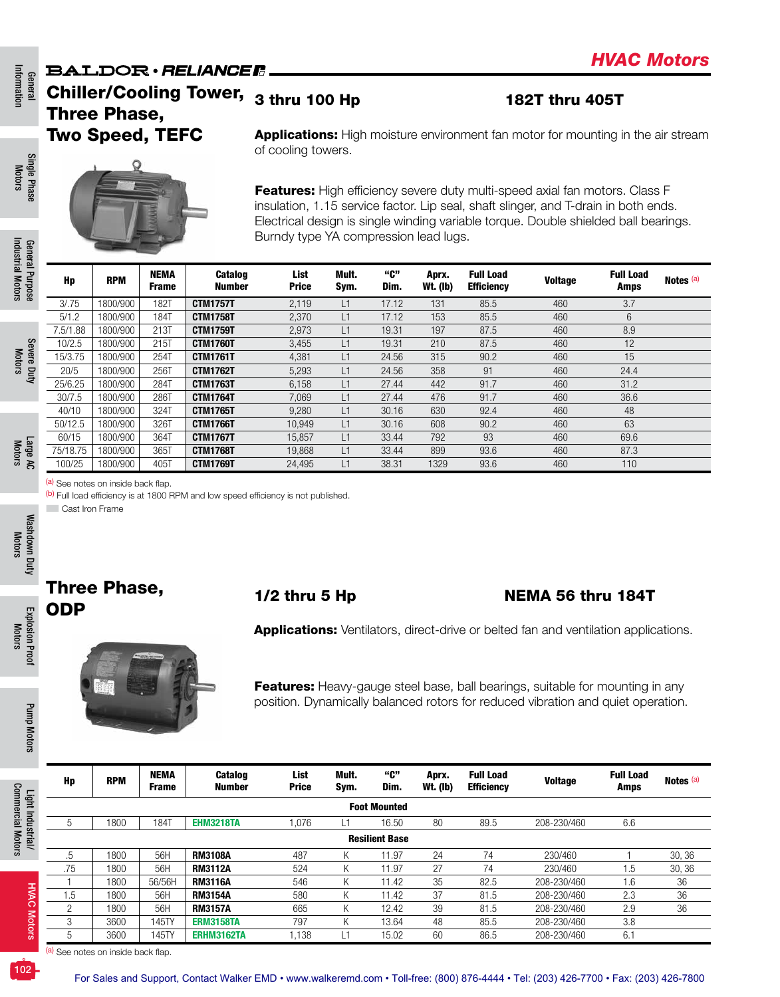### **BALDOR** · RELIANCER Chiller/Cooling Tower, <sub>3 thru</sub> 100 Hp 182T thru 405T Three Phase,

# Two Speed, TEFC

Single Phase Single Phase Motors



(a) See notes on inside back flap.

(b) Full load efficiency is at 1800 RPM and low speed efficiency is not published.

■ Cast Iron Frame

Explosion Proof Motors

**Explosion Proof** 

Pump Motors

Pump Motors

Light Industrial/ Commercial Motors

**Commercial Motors** Light Industrial/

# Three Phase,

75/18.75 | 1800/900 | 365T | **CTM1768T** 19,868 L1 33.44 899 93.6 460 87.3 100/25 |1800/900 | 405T | **CTM1769T** 24,495 L1 38.31 1329 93.6 460 110

# Three Phase, the 1/2 thru 5 Hp 1/2 the NEMA 56 thru 184T

Applications: Ventilators, direct-drive or belted fan and ventilation applications.



Features: Heavy-gauge steel base, ball bearings, suitable for mounting in any position. Dynamically balanced rotors for reduced vibration and quiet operation.

| Hp             | <b>RPM</b>            | <b>NEMA</b><br><b>Frame</b> | <b>Catalog</b><br>Number | List<br><b>Price</b> | Mult.<br>Sym. | "ር"<br>Dim.         | Aprx.<br>Wt. (lb) | <b>Full Load</b><br><b>Efficiency</b> | <b>Voltage</b> | <b>Full Load</b><br>Amps | Notes (a) |  |  |  |  |
|----------------|-----------------------|-----------------------------|--------------------------|----------------------|---------------|---------------------|-------------------|---------------------------------------|----------------|--------------------------|-----------|--|--|--|--|
|                |                       |                             |                          |                      |               | <b>Foot Mounted</b> |                   |                                       |                |                          |           |  |  |  |  |
| ა              | 1800                  | 184T                        | <b>EHM3218TA</b>         | 1.076                | L1            | 16.50               | 80                | 89.5                                  | 208-230/460    | 6.6                      |           |  |  |  |  |
|                | <b>Resilient Base</b> |                             |                          |                      |               |                     |                   |                                       |                |                          |           |  |  |  |  |
| .5             | 1800                  | 56H                         | <b>RM3108A</b>           | 487                  | ĸ.            | 11.97               | 24                | 74                                    | 230/460        |                          | 30, 36    |  |  |  |  |
| .75            | 1800                  | 56H                         | <b>RM3112A</b>           | 524                  | K             | 11.97               | 27                | 74                                    | 230/460        | 1.5                      | 30, 36    |  |  |  |  |
|                | 1800                  | 56/56H                      | <b>RM3116A</b>           | 546                  | ĸ.            | 11.42               | 35                | 82.5                                  | 208-230/460    | 1.6                      | 36        |  |  |  |  |
| ۱.5            | 1800                  | 56H                         | <b>RM3154A</b>           | 580                  | n.            | 11.42               | 37                | 81.5                                  | 208-230/460    | 2.3                      | 36        |  |  |  |  |
| $\overline{c}$ | 1800                  | 56H                         | <b>RM3157A</b>           | 665                  | N.            | 12.42               | 39                | 81.5                                  | 208-230/460    | 2.9                      | 36        |  |  |  |  |
| 3              | 3600                  | 145TY                       | <b>ERM3158TA</b>         | 797                  | N.            | 13.64               | 48                | 85.5                                  | 208-230/460    | 3.8                      |           |  |  |  |  |
| 5              | 3600                  | 45TY                        | <b>ERHM3162TA</b>        | 1.138                | ∟1            | 15.02               | 60                | 86.5                                  | 208-230/460    | 6.1                      |           |  |  |  |  |

(a) See notes on inside back flap.

HVAC Motors

**HVAC Motors** 

Notes (a)

**Applications:** High moisture environment fan motor for mounting in the air stream of cooling towers.

Features: High efficiency severe duty multi-speed axial fan motors. Class F insulation, 1.15 service factor. Lip seal, shaft slinger, and T-drain in both ends. Electrical design is single winding variable torque. Double shielded ball bearings. Burndy type YA compression lead lugs.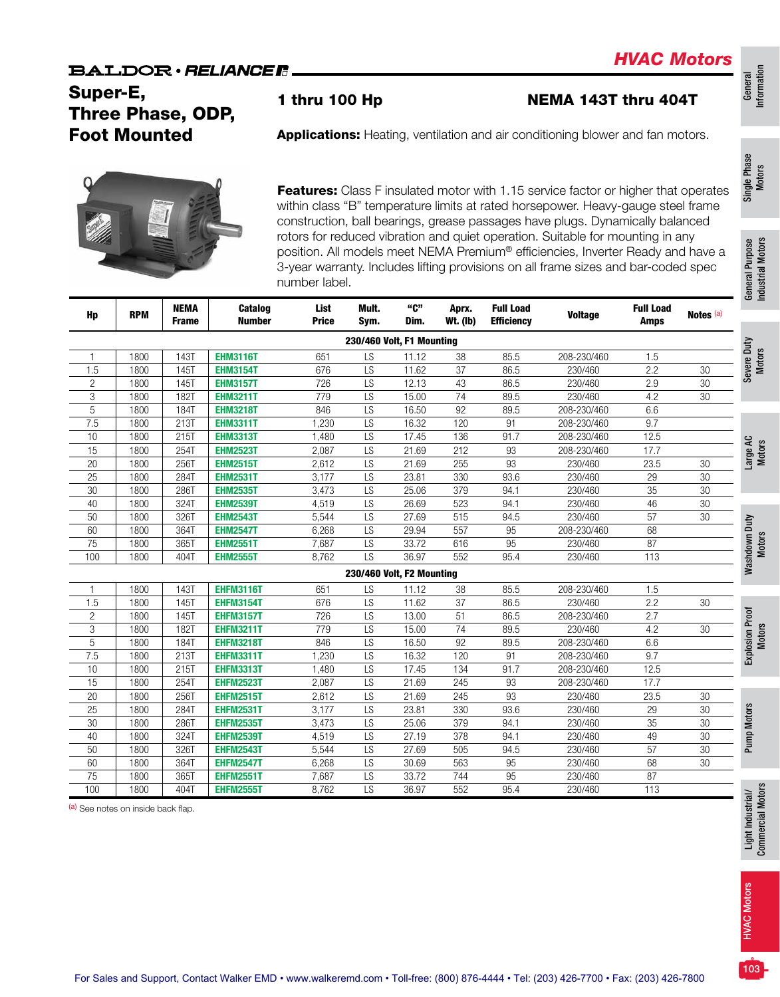# Super-E, Three Phase, ODP, Foot Mounted

1 thru 100 Hp NEMA 143T thru 404T

General<br>Information Information Single Phase Single Phase<br>Motors



Features: Class F insulated motor with 1.15 service factor or higher that operates within class "B" temperature limits at rated horsepower. Heavy-gauge steel frame construction, ball bearings, grease passages have plugs. Dynamically balanced rotors for reduced vibration and quiet operation. Suitable for mounting in any position. All models meet NEMA Premium® efficiencies, Inverter Ready and have a 3-year warranty. Includes lifting provisions on all frame sizes and bar-coded spec number label.

Applications: Heating, ventilation and air conditioning blower and fan motors.

| Hp             | <b>RPM</b> | <b>NEMA</b><br><b>Frame</b> | Catalog<br><b>Number</b> | List<br><b>Price</b> | Mult.<br>Sym.             | "C"<br>Dim. | Aprx.<br><b>Wt. (Ib)</b> | <b>Full Load</b><br><b>Efficiency</b> | <b>Voltage</b> | <b>Full Load</b><br><b>Amps</b> | Notes (a)       |
|----------------|------------|-----------------------------|--------------------------|----------------------|---------------------------|-------------|--------------------------|---------------------------------------|----------------|---------------------------------|-----------------|
|                |            |                             |                          |                      | 230/460 Volt, F1 Mounting |             |                          |                                       |                |                                 |                 |
| 1              | 1800       | <b>143T</b>                 | <b>EHM3116T</b>          | 651                  | LS                        | 11.12       | 38                       | 85.5                                  | 208-230/460    | 1.5                             |                 |
| 1.5            | 1800       | <b>145T</b>                 | <b>EHM3154T</b>          | 676                  | $\overline{LS}$           | 11.62       | 37                       | 86.5                                  | 230/460        | 2.2                             | 30              |
| $\overline{2}$ | 1800       | <b>145T</b>                 | <b>EHM3157T</b>          | 726                  | LS                        | 12.13       | 43                       | 86.5                                  | 230/460        | 2.9                             | 30              |
| 3              | 1800       | 182T                        | <b>EHM3211T</b>          | 779                  | $\overline{LS}$           | 15.00       | $\overline{74}$          | 89.5                                  | 230/460        | 4.2                             | $\overline{30}$ |
| 5              | 1800       | 184T                        | <b>EHM3218T</b>          | 846                  | LS                        | 16.50       | 92                       | 89.5                                  | 208-230/460    | 6.6                             |                 |
| 7.5            | 1800       | 213T                        | <b>EHM3311T</b>          | 1,230                | LS                        | 16.32       | 120                      | 91                                    | 208-230/460    | 9.7                             |                 |
| 10             | 1800       | 215T                        | <b>EHM3313T</b>          | 1,480                | LS                        | 17.45       | 136                      | 91.7                                  | 208-230/460    | 12.5                            |                 |
| 15             | 1800       | 254T                        | <b>EHM2523T</b>          | 2,087                | $\overline{LS}$           | 21.69       | 212                      | $\overline{93}$                       | 208-230/460    | 17.7                            |                 |
| $20\,$         | 1800       | 256T                        | <b>EHM2515T</b>          | 2,612                | LS                        | 21.69       | 255                      | 93                                    | 230/460        | 23.5                            | $30\,$          |
| 25             | 1800       | 284T                        | <b>EHM2531T</b>          | 3,177                | $\overline{LS}$           | 23.81       | 330                      | 93.6                                  | 230/460        | 29                              | $30\,$          |
| $30\,$         | 1800       | 286T                        | <b>EHM2535T</b>          | 3,473                | LS                        | 25.06       | 379                      | 94.1                                  | 230/460        | 35                              | 30              |
| $40\,$         | 1800       | 324T                        | <b>EHM2539T</b>          | 4,519                | LS                        | 26.69       | 523                      | 94.1                                  | 230/460        | 46                              | 30              |
| 50             | 1800       | 326T                        | <b>EHM2543T</b>          | 5,544                | LS                        | 27.69       | 515                      | 94.5                                  | 230/460        | 57                              | 30              |
| 60             | 1800       | 364T                        | <b>EHM2547T</b>          | 6,268                | LS                        | 29.94       | 557                      | 95                                    | 208-230/460    | 68                              |                 |
| 75             | 1800       | 365T                        | <b>EHM2551T</b>          | 7,687                | LS                        | 33.72       | 616                      | 95                                    | 230/460        | 87                              |                 |
| 100            | 1800       | 404T                        | <b>EHM2555T</b>          | 8,762                | $\overline{LS}$           | 36.97       | 552                      | 95.4                                  | 230/460        | 113                             |                 |
|                |            |                             |                          |                      | 230/460 Volt, F2 Mounting |             |                          |                                       |                |                                 |                 |
|                | 1800       | <b>143T</b>                 | <b>EHFM3116T</b>         | 651                  | LS                        | 11.12       | 38                       | 85.5                                  | 208-230/460    | 1.5                             |                 |
| 1.5            | 1800       | 145T                        | <b>EHFM3154T</b>         | 676                  | LS                        | 11.62       | 37                       | 86.5                                  | 230/460        | 2.2                             | $30\,$          |
| $\mathbf{2}$   | 1800       | <b>145T</b>                 | <b>EHFM3157T</b>         | 726                  | LS                        | 13.00       | 51                       | 86.5                                  | 208-230/460    | 2.7                             |                 |
| $\,3$          | 1800       | 182T                        | <b>EHFM3211T</b>         | 779                  | LS                        | 15.00       | $\overline{74}$          | 89.5                                  | 230/460        | 4.2                             | 30              |
| 5              | 1800       | 184T                        | <b>EHFM3218T</b>         | 846                  | LS                        | 16.50       | 92                       | 89.5                                  | 208-230/460    | 6.6                             |                 |
| 7.5            | 1800       | 213T                        | <b>EHFM3311T</b>         | 1,230                | LS                        | 16.32       | 120                      | 91                                    | 208-230/460    | 9.7                             |                 |
| 10             | 1800       | 215T                        | <b>EHFM3313T</b>         | 1,480                | LS                        | 17.45       | 134                      | 91.7                                  | 208-230/460    | 12.5                            |                 |
| 15             | 1800       | 2541                        | <b>EHFM2523T</b>         | 2,087                | LS                        | 21.69       | 245                      | 93                                    | 208-230/460    | 17.7                            |                 |
| 20             | 1800       | 256T                        | <b>EHFM2515T</b>         | 2,612                | LS                        | 21.69       | 245                      | 93                                    | 230/460        | 23.5                            | $30\,$          |
| 25             | 1800       | 284T                        | <b>EHFM2531T</b>         | 3,177                | LS                        | 23.81       | 330                      | 93.6                                  | 230/460        | 29                              | 30              |
| $30\,$         | 1800       | 286T                        | <b>EHFM2535T</b>         | 3,473                | LS                        | 25.06       | 379                      | 94.1                                  | 230/460        | 35                              | 30              |
| 40             | 1800       | 324T                        | <b>EHFM2539T</b>         | 4,519                | LS                        | 27.19       | 378                      | 94.1                                  | 230/460        | 49                              | $30\,$          |
| 50             | 1800       | 326T                        | <b>EHFM2543T</b>         | 5,544                | LS                        | 27.69       | 505                      | 94.5                                  | 230/460        | 57                              | 30              |
| 60             | 1800       | 364T                        | <b>EHFM2547T</b>         | 6,268                | LS                        | 30.69       | 563                      | 95                                    | 230/460        | 68                              | 30              |
| 75             | 1800       | 365T                        | <b>EHFM2551T</b>         | 7,687                | LS                        | 33.72       | 744                      | 95                                    | 230/460        | 87                              |                 |
| 100            | 1800       | 404T                        | <b>EHFM2555T</b>         | 8,762                | LS                        | 36.97       | 552                      | 95.4                                  | 230/460        | 113                             |                 |

(a) See notes on inside back flap.

HVAC Motors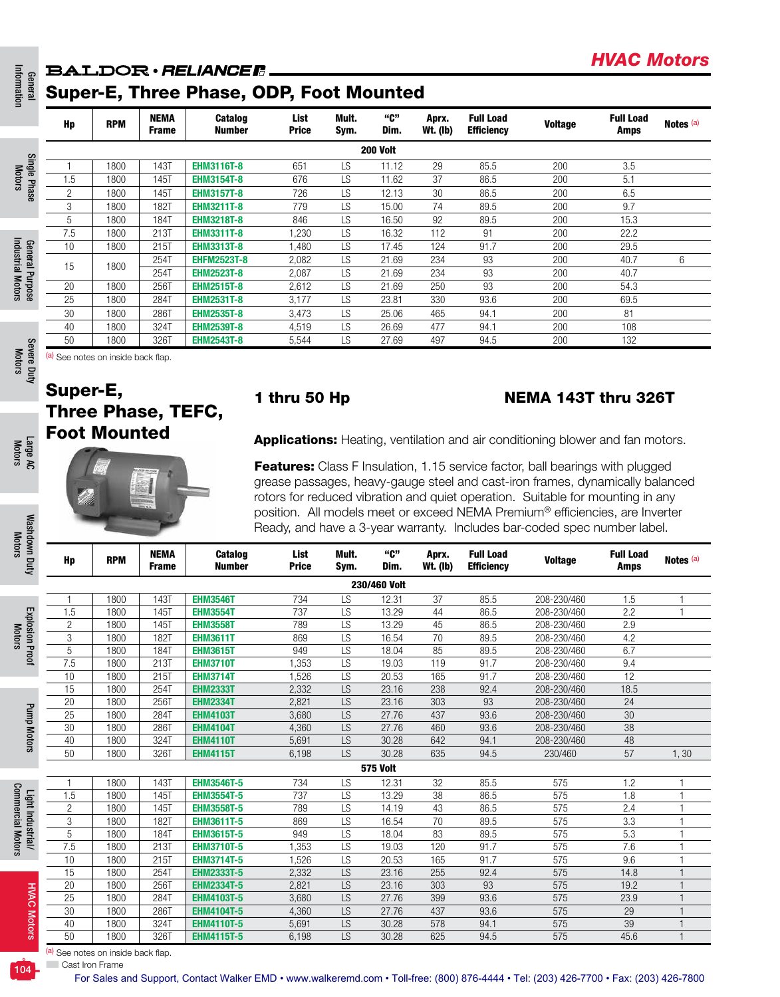# **BALDOR** · RELIANCE R.

|                 | Hp             | <b>RPM</b>                     | <b>NEMA</b><br>Frame | Catalog<br><b>Number</b> | List<br><b>Price</b> | Mult.<br>Sym. | "C"<br>Dim.     | Aprx.<br><b>Wt. (Ib)</b> | <b>Full Load</b><br><b>Efficiency</b> | <b>Voltage</b> | <b>Full Load</b><br><b>Amps</b> | Notes (a) |
|-----------------|----------------|--------------------------------|----------------------|--------------------------|----------------------|---------------|-----------------|--------------------------|---------------------------------------|----------------|---------------------------------|-----------|
|                 |                |                                |                      |                          |                      |               | <b>200 Volt</b> |                          |                                       |                |                                 |           |
| Single Phase    |                | 1800                           | 143T                 | <b>EHM3116T-8</b>        | 651                  | LS            | 11.12           | 29                       | 85.5                                  | 200            | 3.5                             |           |
|                 | 1.5            | 1800                           | 145T                 | <b>EHM3154T-8</b>        | 676                  | <b>LS</b>     | 11.62           | 37                       | 86.5                                  | 200            | 5.1                             |           |
|                 | $\overline{c}$ | 1800                           | 145T                 | <b>EHM3157T-8</b>        | 726                  | LS            | 12.13           | 30                       | 86.5                                  | 200            | 6.5                             |           |
|                 | 3              | 1800                           | 182T                 | <b>EHM3211T-8</b>        | 779                  | LS            | 15.00           | 74                       | 89.5                                  | 200            | 9.7                             |           |
|                 | 5              | 1800                           | 184T                 | <b>EHM3218T-8</b>        | 846                  | <b>LS</b>     | 16.50           | 92                       | 89.5                                  | 200            | 15.3                            |           |
| General Purpose | 7.5            | 1800                           | 213T                 | <b>EHM3311T-8</b>        | .230                 | LS            | 16.32           | 112                      | 91                                    | 200            | 22.2                            |           |
|                 | 10             | 1800                           | 215T                 | <b>EHM3313T-8</b>        | ,480                 | <b>LS</b>     | 17.45           | 124                      | 91.7                                  | 200            | 29.5                            |           |
|                 | 15             | 1800                           | 254T                 | <b>EHFM2523T-8</b>       | 2,082                | <b>LS</b>     | 21.69           | 234                      | 93                                    | 200            | 40.7                            | 6         |
|                 |                |                                | 254T                 | <b>EHM2523T-8</b>        | 2,087                | <b>LS</b>     | 21.69           | 234                      | 93                                    | 200            | 40.7                            |           |
|                 | 20             | 1800                           | 256T                 | <b>EHM2515T-8</b>        | 2,612                | <b>LS</b>     | 21.69           | 250                      | 93                                    | 200            | 54.3                            |           |
|                 | 25             | 1800                           | 284T                 | <b>EHM2531T-8</b>        | 3,177                | LS            | 23.81           | 330                      | 93.6                                  | 200            | 69.5                            |           |
|                 | 30             | 1800                           | 286T                 | <b>EHM2535T-8</b>        | 3,473                | <b>LS</b>     | 25.06           | 465                      | 94.1                                  | 200            | 81                              |           |
|                 | 40             | 1800                           | 324T                 | <b>EHM2539T-8</b>        | 4,519                | <b>LS</b>     | 26.69           | 477                      | 94.1                                  | 200            | 108                             |           |
|                 | 50             | 1800                           | 326T                 | <b>EHM2543T-8</b>        | 5,544                | LS            | 27.69           | 497                      | 94.5                                  | 200            | 132                             |           |
| Severe Duty     |                | See notes on inside back flap. |                      |                          |                      |               |                 |                          |                                       |                |                                 |           |

General Information

Information

Motors

Industrial Motors

Industrial Motors

Motors

Large AC Motors

Washdown Duty Washdown Duty<br>Motors

Explosion Proof Motors

**Explosion Proof** 

Pump Motors

Pump Motors

Light Industrial/ Commercial Motors

Light Industrial/<br>Commercial Motors

# Super-E, Three Phase, TEFC, Foot Mounted

### 1 thru 50 Hp NEMA 143T thru 326T

*HVAC Motors*

Applications: Heating, ventilation and air conditioning blower and fan motors.

Features: Class F Insulation, 1.15 service factor, ball bearings with plugged grease passages, heavy-gauge steel and cast-iron frames, dynamically balanced rotors for reduced vibration and quiet operation. Suitable for mounting in any position. All models meet or exceed NEMA Premium® efficiencies, are Inverter Ready, and have a 3-year warranty. Includes bar-coded spec number label.

| Hp             | <b>RPM</b>      | <b>NEMA</b><br><b>Frame</b> | Catalog<br><b>Number</b> | List<br><b>Price</b> | Mult.<br>Sym. | "ር"<br>Dim.  | Aprx.<br><b>Wt. (Ib)</b> | <b>Full Load</b><br><b>Efficiency</b> | <b>Voltage</b> | <b>Full Load</b><br>Amps | Notes (a)      |  |  |  |
|----------------|-----------------|-----------------------------|--------------------------|----------------------|---------------|--------------|--------------------------|---------------------------------------|----------------|--------------------------|----------------|--|--|--|
|                |                 |                             |                          |                      |               | 230/460 Volt |                          |                                       |                |                          |                |  |  |  |
|                | 1800            | 143T                        | <b>EHM3546T</b>          | 734                  | <b>LS</b>     | 12.31        | 37                       | 85.5                                  | 208-230/460    | 1.5                      |                |  |  |  |
| 1.5            | 1800            | 145T                        | <b>EHM3554T</b>          | 737                  | LS            | 13.29        | 44                       | 86.5                                  | 208-230/460    | 2.2                      | 1              |  |  |  |
| $\overline{c}$ | 1800            | 145T                        | <b>EHM3558T</b>          | 789                  | LS            | 13.29        | 45                       | 86.5                                  | 208-230/460    | 2.9                      |                |  |  |  |
| 3              | 1800            | 182T                        | <b>EHM3611T</b>          | 869                  | LS            | 16.54        | 70                       | 89.5                                  | 208-230/460    | 4.2                      |                |  |  |  |
| 5              | 1800            | 184T                        | <b>EHM3615T</b>          | 949                  | LS            | 18.04        | 85                       | 89.5                                  | 208-230/460    | 6.7                      |                |  |  |  |
| 7.5            | 1800            | 213T                        | <b>EHM3710T</b>          | 1.353                | <b>LS</b>     | 19.03        | 119                      | 91.7                                  | 208-230/460    | 9.4                      |                |  |  |  |
| 10             | 1800            | 215T                        | <b>EHM3714T</b>          | 1,526                | LS            | 20.53        | 165                      | 91.7                                  | 208-230/460    | 12                       |                |  |  |  |
| 15             | 1800            | 254T                        | <b>EHM2333T</b>          | 2,332                | LS            | 23.16        | 238                      | 92.4                                  | 208-230/460    | 18.5                     |                |  |  |  |
| 20             | 1800            | 256T                        | <b>EHM2334T</b>          | 2.821                | <b>LS</b>     | 23.16        | 303                      | 93                                    | 208-230/460    | 24                       |                |  |  |  |
| 25             | 1800            | 284T                        | <b>EHM4103T</b>          | 3,680                | LS            | 27.76        | 437                      | 93.6                                  | 208-230/460    | 30                       |                |  |  |  |
| 30             | 1800            | <b>286T</b>                 | <b>EHM4104T</b>          | 4,360                | LS            | 27.76        | 460                      | 93.6                                  | 208-230/460    | 38                       |                |  |  |  |
| 40             | 1800            | 324T                        | <b>EHM4110T</b>          | 5,691                | <b>LS</b>     | 30.28        | 642                      | 94.1                                  | 208-230/460    | 48                       |                |  |  |  |
| 50             | 1800            | 326T                        | <b>EHM4115T</b>          | 6,198                | LS            | 30.28        | 635                      | 94.5                                  | 230/460        | 57                       | 1,30           |  |  |  |
|                | <b>575 Volt</b> |                             |                          |                      |               |              |                          |                                       |                |                          |                |  |  |  |
|                | 1800            | 143T                        | <b>EHM3546T-5</b>        | 734                  | <b>LS</b>     | 12.31        | 32                       | 85.5                                  | 575            | 1.2                      | 1              |  |  |  |
| 1.5            | 1800            | 145T                        | <b>EHM3554T-5</b>        | 737                  | LS            | 13.29        | 38                       | 86.5                                  | 575            | 1.8                      | 1              |  |  |  |
| $\overline{c}$ | 1800            | 145T                        | <b>EHM3558T-5</b>        | 789                  | LS            | 14.19        | 43                       | 86.5                                  | 575            | 2.4                      |                |  |  |  |
| 3              | 1800            | <b>182T</b>                 | <b>EHM3611T-5</b>        | 869                  | LS            | 16.54        | 70                       | 89.5                                  | 575            | 3.3                      | $\overline{1}$ |  |  |  |
| 5              | 1800            | 184T                        | <b>EHM3615T-5</b>        | 949                  | LS            | 18.04        | 83                       | 89.5                                  | 575            | 5.3                      | 1              |  |  |  |
| 7.5            | 1800            | 213T                        | <b>EHM3710T-5</b>        | .353                 | LS            | 19.03        | 120                      | 91.7                                  | 575            | 7.6                      | 1              |  |  |  |
| 10             | 1800            | 215T                        | <b>EHM3714T-5</b>        | 1,526                | LS            | 20.53        | 165                      | 91.7                                  | 575            | 9.6                      | $\mathbf{1}$   |  |  |  |
| 15             | 1800            | <b>254T</b>                 | <b>EHM2333T-5</b>        | 2,332                | LS            | 23.16        | 255                      | 92.4                                  | 575            | 14.8                     | $\overline{1}$ |  |  |  |
| 20             | 1800            | 256T                        | <b>EHM2334T-5</b>        | 2,821                | LS            | 23.16        | 303                      | 93                                    | 575            | 19.2                     | 1              |  |  |  |
| 25             | 1800            | <b>284T</b>                 | <b>EHM4103T-5</b>        | 3,680                | LS            | 27.76        | 399                      | 93.6                                  | 575            | 23.9                     |                |  |  |  |
| 30             | 1800            | <b>286T</b>                 | <b>EHM4104T-5</b>        | 4,360                | LS            | 27.76        | 437                      | 93.6                                  | 575            | 29                       |                |  |  |  |
| 40             | 1800            | <b>324T</b>                 | <b>EHM4110T-5</b>        | 5,691                | LS            | 30.28        | 578                      | 94.1                                  | 575            | 39                       |                |  |  |  |
| 50             | 1800            | 326T                        | <b>EHM4115T-5</b>        | 6,198                | LS.           | 30.28        | 625                      | 94.5                                  | 575            | 45.6                     | $\mathbf{1}$   |  |  |  |

**Cast Iron Frame** (a) See notes on inside back flap.

104

HVAC Motors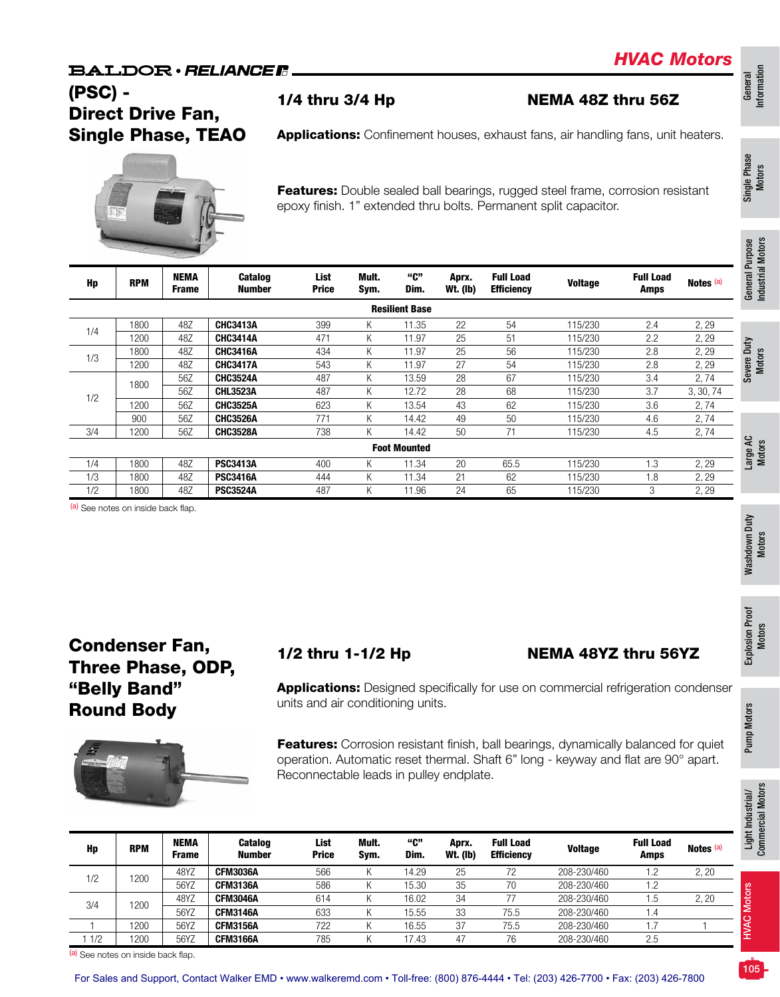### **BALDOR** · RELIANCE R

*HVAC Motors*

## (PSC) - Direct Drive Fan, Single Phase, TEAO

Applications: Confinement houses, exhaust fans, air handling fans, unit heaters.

1/4 thru 3/4 Hp NEMA 48Z thru 56Z



Features: Double sealed ball bearings, rugged steel frame, corrosion resistant epoxy finish. 1" extended thru bolts. Permanent split capacitor.

| Hp  | <b>RPM</b> | <b>NEMA</b><br><b>Frame</b> | <b>Catalog</b><br><b>Number</b> | List<br><b>Price</b> | Mult.<br>Sym. | "C"<br>Dim.           | Aprx.<br><b>Wt. (Ib)</b> | <b>Full Load</b><br><b>Efficiency</b> | <b>Voltage</b> | <b>Full Load</b><br>Amps | Notes (a) |
|-----|------------|-----------------------------|---------------------------------|----------------------|---------------|-----------------------|--------------------------|---------------------------------------|----------------|--------------------------|-----------|
|     |            |                             |                                 |                      |               | <b>Resilient Base</b> |                          |                                       |                |                          |           |
|     | 1800       | 48Z                         | <b>CHC3413A</b>                 | 399                  | K.            | 11.35                 | 22                       | 54                                    | 115/230        | 2.4                      | 2, 29     |
| 1/4 | 1200       | 48Z                         | <b>CHC3414A</b>                 | 471                  | K.            | 11.97                 | 25                       | 51                                    | 115/230        | 2.2                      | 2, 29     |
|     | 1800       | 48Z                         | <b>CHC3416A</b>                 | 434                  | K             | 11.97                 | 25                       | 56                                    | 115/230        | 2.8                      | 2, 29     |
| 1/3 | 1200       | 48Z                         | <b>CHC3417A</b>                 | 543                  | K.            | 11.97                 | 27                       | 54                                    | 115/230        | 2.8                      | 2, 29     |
|     | 1800       | 56Z                         | <b>CHC3524A</b>                 | 487                  | K.            | 13.59                 | 28                       | 67                                    | 115/230        | 3.4                      | 2,74      |
| 1/2 |            | 56Z                         | <b>CHL3523A</b>                 | 487                  | K.            | 12.72                 | 28                       | 68                                    | 115/230        | 3.7                      | 3, 30, 74 |
|     | 1200       | 56Z                         | <b>CHC3525A</b>                 | 623                  | K             | 13.54                 | 43                       | 62                                    | 115/230        | 3.6                      | 2,74      |
|     | 900        | 56Z                         | <b>CHC3526A</b>                 | 771                  | K.            | 14.42                 | 49                       | 50                                    | 115/230        | 4.6                      | 2,74      |
| 3/4 | 1200       | 56Z                         | <b>CHC3528A</b>                 | 738                  | K             | 14.42                 | 50                       | 71                                    | 115/230        | 4.5                      | 2,74      |
|     |            |                             |                                 |                      |               | <b>Foot Mounted</b>   |                          |                                       |                |                          |           |
| 1/4 | 1800       | 48Z                         | <b>PSC3413A</b>                 | 400                  | K.            | 11.34                 | 20                       | 65.5                                  | 115/230        | 1.3                      | 2, 29     |
| 1/3 | 1800       | 48Z                         | <b>PSC3416A</b>                 | 444                  | K.            | 11.34                 | 21                       | 62                                    | 115/230        | 1.8                      | 2, 29     |
| 1/2 | 1800       | 48Z                         | <b>PSC3524A</b>                 | 487                  | K.            | 11.96                 | 24                       | 65                                    | 115/230        | 3                        | 2, 29     |

(a) See notes on inside back flap.

## Condenser Fan, Three Phase, ODP, "Belly Band" Round Body



### 1/2 thru 1-1/2 Hp NEMA 48YZ thru 56YZ

Applications: Designed specifically for use on commercial refrigeration condenser units and air conditioning units.

**Features:** Corrosion resistant finish, ball bearings, dynamically balanced for quiet operation. Automatic reset thermal. Shaft 6" long - keyway and flat are 90° apart. Reconnectable leads in pulley endplate.

| Hp  | <b>RPM</b> | <b>NEMA</b><br>Frame | <b>Catalog</b><br><b>Number</b> | List<br><b>Price</b> | Mult.<br>Svm. | "ር"<br>Dim. | Aprx.<br><b>Wt. (Ib)</b> | <b>Full Load</b><br><b>Efficiency</b> | <b>Voltage</b> | <b>Full Load</b><br>Amps | Notes <sup>(a)</sup> |
|-----|------------|----------------------|---------------------------------|----------------------|---------------|-------------|--------------------------|---------------------------------------|----------------|--------------------------|----------------------|
| 1/2 | 1200       | 48YZ                 | <b>CFM3036A</b>                 | 566                  |               | 14.29       | 25                       | 72                                    | 208-230/460    | .2                       | 2, 20                |
|     |            | 56YZ                 | <b>CFM3136A</b>                 | 586                  |               | 15.30       | 35                       | 70                                    | 208-230/460    | 1.2                      |                      |
| 3/4 | 1200       | 48YZ                 | <b>CFM3046A</b>                 | 614                  |               | 16.02       | 34                       |                                       | 208-230/460    | .5                       | 2, 20                |
|     |            | 56YZ                 | <b>CFM3146A</b>                 | 633                  |               | 15.55       | 33                       | 75.5                                  | 208-230/460    | 1.4                      |                      |
|     | 1200       | 56YZ                 | <b>CFM3156A</b>                 | 722                  |               | 16.55       | 37                       | 75.5                                  | 208-230/460    |                          |                      |
| 1/2 | 1200       | 56YZ                 | <b>CFM3166A</b>                 | 785                  |               | 17.43       | 47                       | 76                                    | 208-230/460    | 2.5                      |                      |

(a) See notes on inside back flap.

HVAC Motors

**HVAC Motors** 

Industrial Motors

Industrial Motors

General<br>Information Information

Single Phase Single Phase<br>Motors

ose

Pump Motors

Pump Motors

Light Industrial/ Commercial Motors

Light Industrial/<br>Commercial Motors